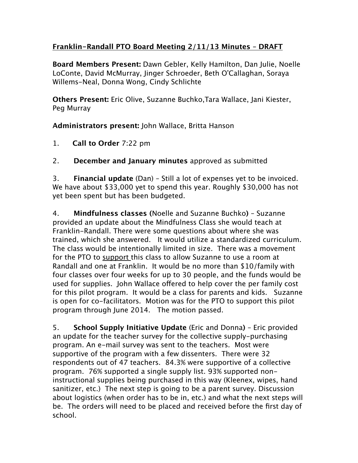## **Franklin-Randall PTO Board Meeting 2/11/13 Minutes – DRAFT**

**Board Members Present:** Dawn Gebler, Kelly Hamilton, Dan Julie, Noelle LoConte, David McMurray, Jinger Schroeder, Beth O'Callaghan, Soraya Willems-Neal, Donna Wong, Cindy Schlichte

**Others Present:** Eric Olive, Suzanne Buchko,Tara Wallace, Jani Kiester, Peg Murray

**Administrators present:** John Wallace, Britta Hanson

- 1. **Call to Order** 7:22 pm
- 2. **December and January minutes** approved as submitted

3. **Financial update** (Dan) – Still a lot of expenses yet to be invoiced. We have about \$33,000 yet to spend this year. Roughly \$30,000 has not yet been spent but has been budgeted.

4. **Mindfulness classes (**Noelle and Suzanne Buchko**)** – Suzanne provided an update about the Mindfulness Class she would teach at Franklin-Randall. There were some questions about where she was trained, which she answered. It would utilize a standardized curriculum. The class would be intentionally limited in size. There was a movement for the PTO to support this class to allow Suzanne to use a room at Randall and one at Franklin. It would be no more than \$10/family with four classes over four weeks for up to 30 people, and the funds would be used for supplies. John Wallace offered to help cover the per family cost for this pilot program. It would be a class for parents and kids. Suzanne is open for co-facilitators. Motion was for the PTO to support this pilot program through June 2014. The motion passed.

5. **School Supply Initiative Update** (Eric and Donna**)** – Eric provided an update for the teacher survey for the collective supply-purchasing program. An e-mail survey was sent to the teachers. Most were supportive of the program with a few dissenters. There were 32 respondents out of 47 teachers. 84.3% were supportive of a collective program. 76% supported a single supply list. 93% supported noninstructional supplies being purchased in this way (Kleenex, wipes, hand sanitizer, etc.) The next step is going to be a parent survey. Discussion about logistics (when order has to be in, etc.) and what the next steps will be. The orders will need to be placed and received before the first day of school.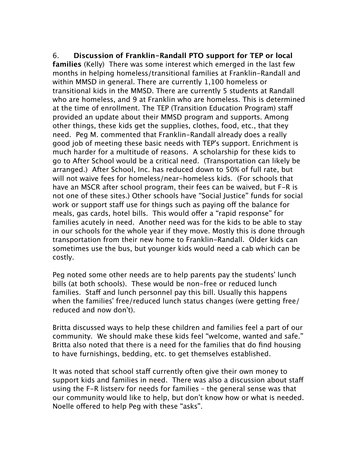6. **Discussion of Franklin-Randall PTO support for TEP or local families** (Kelly) There was some interest which emerged in the last few months in helping homeless/transitional families at Franklin-Randall and within MMSD in general. There are currently 1,100 homeless or transitional kids in the MMSD. There are currently 5 students at Randall who are homeless, and 9 at Franklin who are homeless. This is determined at the time of enrollment. The TEP (Transition Education Program) staf provided an update about their MMSD program and supports. Among other things, these kids get the supplies, clothes, food, etc., that they need. Peg M. commented that Franklin-Randall already does a really good job of meeting these basic needs with TEP's support. Enrichment is much harder for a multitude of reasons. A scholarship for these kids to go to After School would be a critical need. (Transportation can likely be arranged.) After School, Inc. has reduced down to 50% of full rate, but will not waive fees for homeless/near-homeless kids. (For schools that have an MSCR after school program, their fees can be waived, but F-R is not one of these sites.) Other schools have "Social Justice" funds for social work or support staff use for things such as paying off the balance for meals, gas cards, hotel bills. This would offer a "rapid response" for families acutely in need. Another need was for the kids to be able to stay in our schools for the whole year if they move. Mostly this is done through transportation from their new home to Franklin-Randall. Older kids can sometimes use the bus, but younger kids would need a cab which can be costly.

Peg noted some other needs are to help parents pay the students' lunch bills (at both schools). These would be non-free or reduced lunch families. Staff and lunch personnel pay this bill. Usually this happens when the families' free/reduced lunch status changes (were getting free/ reduced and now don't).

Britta discussed ways to help these children and families feel a part of our community. We should make these kids feel "welcome, wanted and safe." Britta also noted that there is a need for the families that do find housing to have furnishings, bedding, etc. to get themselves established.

It was noted that school staff currently often give their own money to support kids and families in need. There was also a discussion about staf using the F-R listserv for needs for families – the general sense was that our community would like to help, but don't know how or what is needed. Noelle offered to help Peg with these "asks".